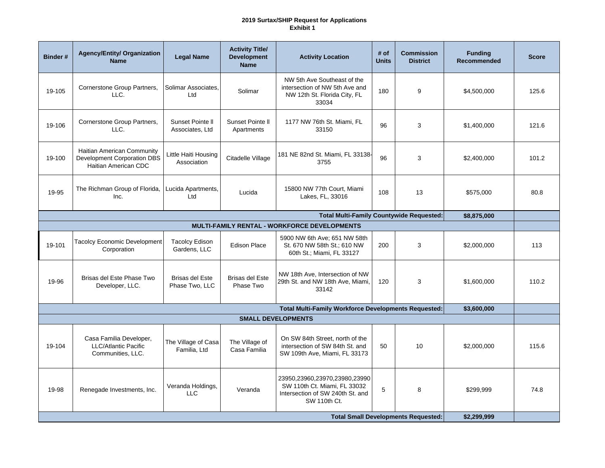## **2019 Surtax/SHIP Request for Applications Exhibit 1**

| <b>Binder#</b>                                                             | <b>Agency/Entity/ Organization</b><br><b>Name</b>                                 | <b>Legal Name</b>                        | <b>Activity Title/</b><br><b>Development</b><br><b>Name</b> | <b>Activity Location</b>                                                                                          | # of<br><b>Units</b> | <b>Commission</b><br><b>District</b> | <b>Funding</b><br><b>Recommended</b> | <b>Score</b> |  |  |
|----------------------------------------------------------------------------|-----------------------------------------------------------------------------------|------------------------------------------|-------------------------------------------------------------|-------------------------------------------------------------------------------------------------------------------|----------------------|--------------------------------------|--------------------------------------|--------------|--|--|
| 19-105                                                                     | Cornerstone Group Partners,<br>LLC.                                               | Solimar Associates,<br>Ltd               | Solimar                                                     | NW 5th Ave Southeast of the<br>intersection of NW 5th Ave and<br>NW 12th St. Florida City, FL<br>33034            | 180                  | 9                                    | \$4,500,000                          | 125.6        |  |  |
| 19-106                                                                     | Cornerstone Group Partners,<br>LLC.                                               | Sunset Pointe II<br>Associates, Ltd      | Sunset Pointe II<br>Apartments                              | 1177 NW 76th St. Miami, FL<br>33150                                                                               | 96                   | 3                                    | \$1,400,000                          | 121.6        |  |  |
| 19-100                                                                     | Haitian American Community<br>Development Corporation DBS<br>Haitian American CDC | Little Haiti Housing<br>Association      | Citadelle Village                                           | 181 NE 82nd St. Miami, FL 33138-<br>3755                                                                          | 96                   | 3                                    | \$2,400,000                          | 101.2        |  |  |
| 19-95                                                                      | The Richman Group of Florida,<br>Inc.                                             | Lucida Apartments,<br>Ltd                | Lucida                                                      | 15800 NW 77th Court, Miami<br>Lakes, FL, 33016                                                                    | 108                  | 13                                   | \$575,000                            | 80.8         |  |  |
|                                                                            |                                                                                   |                                          |                                                             | <b>Total Multi-Family Countywide Requested:</b>                                                                   |                      |                                      | \$8,875,000                          |              |  |  |
|                                                                            |                                                                                   |                                          |                                                             | MULTI-FAMILY RENTAL - WORKFORCE DEVELOPMENTS                                                                      |                      |                                      |                                      |              |  |  |
| 19-101                                                                     | <b>Tacolcy Economic Development</b><br>Corporation                                | <b>Tacolcy Edison</b><br>Gardens, LLC    | <b>Edison Place</b>                                         | 5900 NW 6th Ave; 651 NW 58th<br>St. 670 NW 58th St.; 610 NW<br>60th St.; Miami, FL 33127                          | 200                  | 3                                    | \$2,000,000                          | 113          |  |  |
| 19-96                                                                      | Brisas del Este Phase Two<br>Developer, LLC.                                      | <b>Brisas del Este</b><br>Phase Two, LLC | <b>Brisas del Este</b><br>Phase Two                         | NW 18th Ave, Intersection of NW<br>29th St. and NW 18th Ave, Miami,<br>33142                                      | 120                  | 3                                    | \$1,600,000                          | 110.2        |  |  |
| <b>Total Multi-Family Workforce Developments Requested:</b><br>\$3,600,000 |                                                                                   |                                          |                                                             |                                                                                                                   |                      |                                      |                                      |              |  |  |
|                                                                            |                                                                                   |                                          |                                                             | <b>SMALL DEVELOPMENTS</b>                                                                                         |                      |                                      |                                      |              |  |  |
| 19-104                                                                     | Casa Familia Developer,<br><b>LLC/Atlantic Pacific</b><br>Communities, LLC.       | The Village of Casa<br>Familia, Ltd      | The Village of<br>Casa Familia                              | On SW 84th Street, north of the<br>intersection of SW 84th St. and<br>SW 109th Ave, Miami, FL 33173               | 50                   | 10                                   | \$2,000,000                          | 115.6        |  |  |
| 19-98                                                                      | Renegade Investments, Inc.                                                        | Veranda Holdings,<br><b>LLC</b>          | Veranda                                                     | 23950,23960,23970,23980,23990<br>SW 110th Ct. Miami, FL 33032<br>Intersection of SW 240th St. and<br>SW 110th Ct. | 5                    | 8                                    | \$299,999                            | 74.8         |  |  |
| <b>Total Small Developments Requested:</b><br>\$2,299,999                  |                                                                                   |                                          |                                                             |                                                                                                                   |                      |                                      |                                      |              |  |  |